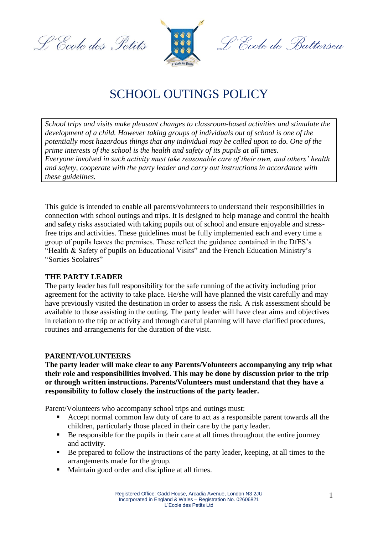L'Ecole des Petits



<sup>o.</sup>Ccole de Battersea

# SCHOOL OUTINGS POLICY

*School trips and visits make pleasant changes to classroom-based activities and stimulate the development of a child. However taking groups of individuals out of school is one of the potentially most hazardous things that any individual may be called upon to do. One of the prime interests of the school is the health and safety of its pupils at all times. Everyone involved in such activity must take reasonable care of their own, and others' health and safety, cooperate with the party leader and carry out instructions in accordance with these guidelines.*

This guide is intended to enable all parents/volunteers to understand their responsibilities in connection with school outings and trips. It is designed to help manage and control the health and safety risks associated with taking pupils out of school and ensure enjoyable and stressfree trips and activities. These guidelines must be fully implemented each and every time a group of pupils leaves the premises. These reflect the guidance contained in the DfES's "Health & Safety of pupils on Educational Visits" and the French Education Ministry's "Sorties Scolaires"

## **THE PARTY LEADER**

The party leader has full responsibility for the safe running of the activity including prior agreement for the activity to take place. He/she will have planned the visit carefully and may have previously visited the destination in order to assess the risk. A risk assessment should be available to those assisting in the outing. The party leader will have clear aims and objectives in relation to the trip or activity and through careful planning will have clarified procedures, routines and arrangements for the duration of the visit.

## **PARENT/VOLUNTEERS**

**The party leader will make clear to any Parents/Volunteers accompanying any trip what their role and responsibilities involved. This may be done by discussion prior to the trip or through written instructions. Parents/Volunteers must understand that they have a responsibility to follow closely the instructions of the party leader.**

Parent/Volunteers who accompany school trips and outings must:

- Accept normal common law duty of care to act as a responsible parent towards all the children, particularly those placed in their care by the party leader.
- Be responsible for the pupils in their care at all times throughout the entire journey and activity.
- Be prepared to follow the instructions of the party leader, keeping, at all times to the arrangements made for the group.
- Maintain good order and discipline at all times.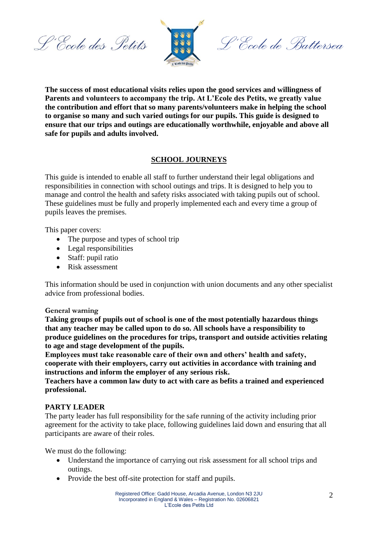L'Ecole des Petits



L'Ecole de Battersea

**The success of most educational visits relies upon the good services and willingness of Parents and volunteers to accompany the trip. At L'Ecole des Petits, we greatly value the contribution and effort that so many parents/volunteers make in helping the school to organise so many and such varied outings for our pupils. This guide is designed to ensure that our trips and outings are educationally worthwhile, enjoyable and above all safe for pupils and adults involved.**

# **SCHOOL JOURNEYS**

This guide is intended to enable all staff to further understand their legal obligations and responsibilities in connection with school outings and trips. It is designed to help you to manage and control the health and safety risks associated with taking pupils out of school. These guidelines must be fully and properly implemented each and every time a group of pupils leaves the premises.

This paper covers:

- The purpose and types of school trip
- Legal responsibilities
- Staff: pupil ratio
- Risk assessment

This information should be used in conjunction with union documents and any other specialist advice from professional bodies.

## **General warning**

**Taking groups of pupils out of school is one of the most potentially hazardous things that any teacher may be called upon to do so. All schools have a responsibility to produce guidelines on the procedures for trips, transport and outside activities relating to age and stage development of the pupils.** 

**Employees must take reasonable care of their own and others' health and safety, cooperate with their employers, carry out activities in accordance with training and instructions and inform the employer of any serious risk.**

**Teachers have a common law duty to act with care as befits a trained and experienced professional.**

## **PARTY LEADER**

The party leader has full responsibility for the safe running of the activity including prior agreement for the activity to take place, following guidelines laid down and ensuring that all participants are aware of their roles.

We must do the following:

- Understand the importance of carrying out risk assessment for all school trips and outings.
- Provide the best off-site protection for staff and pupils.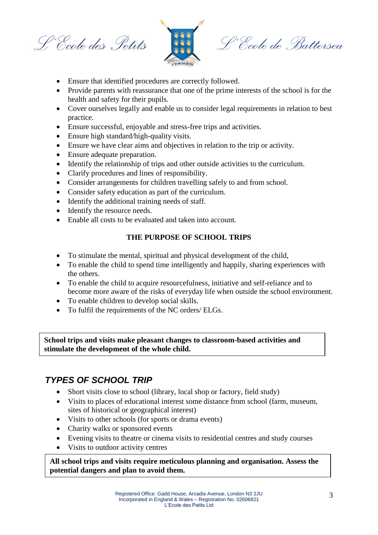L'Ecole des Petits



L'École de Battersea

- Ensure that identified procedures are correctly followed.
- Provide parents with reassurance that one of the prime interests of the school is for the health and safety for their pupils.
- Cover ourselves legally and enable us to consider legal requirements in relation to best practice.
- Ensure successful, enjoyable and stress-free trips and activities.
- Ensure high standard/high-quality visits.
- Ensure we have clear aims and objectives in relation to the trip or activity.
- Ensure adequate preparation.
- Identify the relationship of trips and other outside activities to the curriculum.
- Clarify procedures and lines of responsibility.
- Consider arrangements for children travelling safely to and from school.
- Consider safety education as part of the curriculum.
- Identify the additional training needs of staff.
- Identify the resource needs.
- Enable all costs to be evaluated and taken into account.

# **THE PURPOSE OF SCHOOL TRIPS**

- To stimulate the mental, spiritual and physical development of the child,
- To enable the child to spend time intelligently and happily, sharing experiences with the others.
- To enable the child to acquire resourcefulness, initiative and self-reliance and to become more aware of the risks of everyday life when outside the school environment.
- To enable children to develop social skills.
- To fulfil the requirements of the NC orders/ ELGs.

**School trips and visits make pleasant changes to classroom-based activities and stimulate the development of the whole child.**

# *TYPES OF SCHOOL TRIP*

- Short visits close to school (library, local shop or factory, field study)
- Visits to places of educational interest some distance from school (farm, museum, sites of historical or geographical interest)
- Visits to other schools (for sports or drama events)
- Charity walks or sponsored events
- Evening visits to theatre or cinema visits to residential centres and study courses
- Visits to outdoor activity centres

 **All school trips and visits require meticulous planning and organisation. Assess the potential dangers and plan to avoid them.**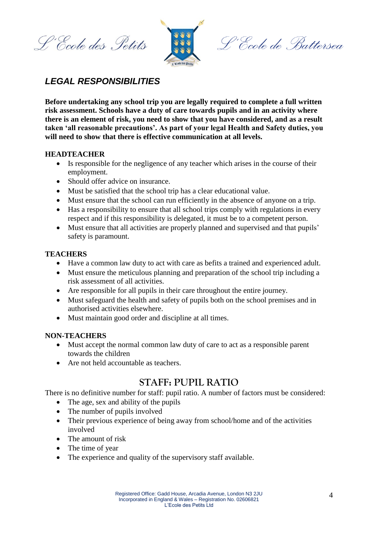L'Ecole des Petits



L'École de Battersea

# *LEGAL RESPONSIBILITIES*

**Before undertaking any school trip you are legally required to complete a full written risk assessment. Schools have a duty of care towards pupils and in an activity where there is an element of risk, you need to show that you have considered, and as a result taken 'all reasonable precautions'. As part of your legal Health and Safety duties, you will need to show that there is effective communication at all levels.**

# **HEADTEACHER**

- Is responsible for the negligence of any teacher which arises in the course of their employment.
- Should offer advice on insurance.
- Must be satisfied that the school trip has a clear educational value.
- Must ensure that the school can run efficiently in the absence of anyone on a trip.
- Has a responsibility to ensure that all school trips comply with regulations in every respect and if this responsibility is delegated, it must be to a competent person.
- Must ensure that all activities are properly planned and supervised and that pupils' safety is paramount.

# **TEACHERS**

- Have a common law duty to act with care as befits a trained and experienced adult.
- Must ensure the meticulous planning and preparation of the school trip including a risk assessment of all activities.
- Are responsible for all pupils in their care throughout the entire journey.
- Must safeguard the health and safety of pupils both on the school premises and in authorised activities elsewhere.
- Must maintain good order and discipline at all times.

## **NON-TEACHERS**

- Must accept the normal common law duty of care to act as a responsible parent towards the children
- Are not held accountable as teachers.

# **STAFF: PUPIL RATIO**

There is no definitive number for staff: pupil ratio. A number of factors must be considered:

- The age, sex and ability of the pupils
- The number of pupils involved
- Their previous experience of being away from school/home and of the activities involved
- The amount of risk
- The time of year
- The experience and quality of the supervisory staff available.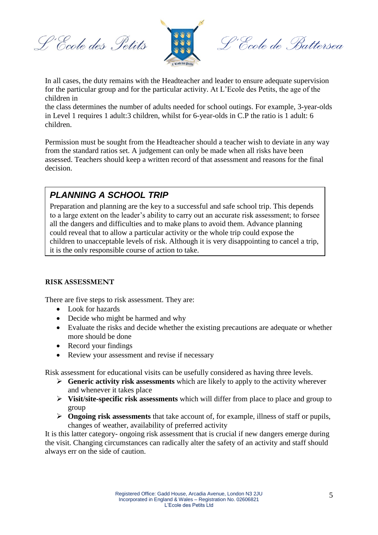L'Ecole des Petits



L'École de Battersea

In all cases, the duty remains with the Headteacher and leader to ensure adequate supervision for the particular group and for the particular activity. At L'Ecole des Petits, the age of the children in

the class determines the number of adults needed for school outings. For example, 3-year-olds in Level 1 requires 1 adult:3 children, whilst for 6-year-olds in C.P the ratio is 1 adult: 6 children.

Permission must be sought from the Headteacher should a teacher wish to deviate in any way from the standard ratios set. A judgement can only be made when all risks have been assessed. Teachers should keep a written record of that assessment and reasons for the final decision.

# *PLANNING A SCHOOL TRIP*

Preparation and planning are the key to a successful and safe school trip. This depends to a large extent on the leader's ability to carry out an accurate risk assessment; to forsee all the dangers and difficulties and to make plans to avoid them. Advance planning could reveal that to allow a particular activity or the whole trip could expose the children to unacceptable levels of risk. Although it is very disappointing to cancel a trip, it is the only responsible course of action to take.

# **RISK ASSESSMENT**

There are five steps to risk assessment. They are:

- Look for hazards
- Decide who might be harmed and why
- Evaluate the risks and decide whether the existing precautions are adequate or whether more should be done
- Record your findings
- Review your assessment and revise if necessary

Risk assessment for educational visits can be usefully considered as having three levels.

- **Generic activity risk assessments** which are likely to apply to the activity wherever and whenever it takes place
- **Visit/site-specific risk assessments** which will differ from place to place and group to group
- **Ongoing risk assessments** that take account of, for example, illness of staff or pupils, changes of weather, availability of preferred activity

It is this latter category- ongoing risk assessment that is crucial if new dangers emerge during the visit. Changing circumstances can radically alter the safety of an activity and staff should always err on the side of caution.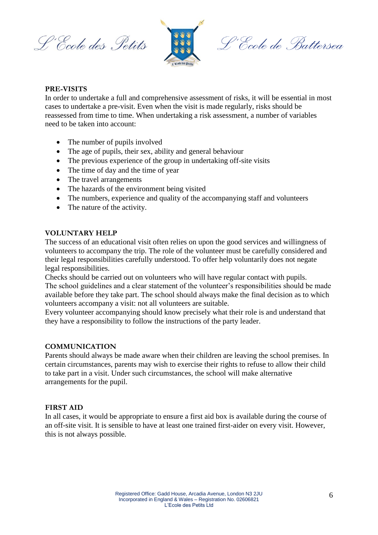L'École des Petits



L'École de Battersea

#### **PRE-VISITS**

In order to undertake a full and comprehensive assessment of risks, it will be essential in most cases to undertake a pre-visit. Even when the visit is made regularly, risks should be reassessed from time to time. When undertaking a risk assessment, a number of variables need to be taken into account:

- The number of pupils involved
- The age of pupils, their sex, ability and general behaviour
- The previous experience of the group in undertaking off-site visits
- The time of day and the time of year
- The travel arrangements
- The hazards of the environment being visited
- The numbers, experience and quality of the accompanying staff and volunteers
- The nature of the activity.

#### **VOLUNTARY HELP**

The success of an educational visit often relies on upon the good services and willingness of volunteers to accompany the trip. The role of the volunteer must be carefully considered and their legal responsibilities carefully understood. To offer help voluntarily does not negate legal responsibilities.

Checks should be carried out on volunteers who will have regular contact with pupils. The school guidelines and a clear statement of the volunteer's responsibilities should be made available before they take part. The school should always make the final decision as to which volunteers accompany a visit: not all volunteers are suitable.

Every volunteer accompanying should know precisely what their role is and understand that they have a responsibility to follow the instructions of the party leader.

#### **COMMUNICATION**

Parents should always be made aware when their children are leaving the school premises. In certain circumstances, parents may wish to exercise their rights to refuse to allow their child to take part in a visit. Under such circumstances, the school will make alternative arrangements for the pupil.

## **FIRST AID**

In all cases, it would be appropriate to ensure a first aid box is available during the course of an off-site visit. It is sensible to have at least one trained first-aider on every visit. However, this is not always possible.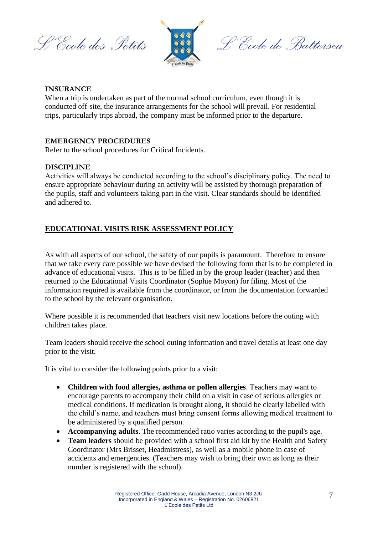L'Ecole des Petits



L'École de Battersea

# **INSURANCE**

When a trip is undertaken as part of the normal school curriculum, even though it is conducted off-site, the insurance arrangements for the school will prevail. For residential trips, particularly trips abroad, the company must be informed prior to the departure.

# **EMERGENCY PROCEDURES**

Refer to the school procedures for Critical Incidents.

# **DISCIPLINE**

Activities will always be conducted according to the school's disciplinary policy. The need to ensure appropriate behaviour during an activity will be assisted by thorough preparation of the pupils, staff and volunteers taking part in the visit. Clear standards should be identified and adhered to.

# **EDUCATIONAL VISITS RISK ASSESSMENT POLICY**

As with all aspects of our school, the safety of our pupils is paramount. Therefore to ensure that we take every care possible we have devised the following form that is to be completed in advance of educational visits. This is to be filled in by the group leader (teacher) and then returned to the Educational Visits Coordinator (Sophie Moyon) for filing. Most of the information required is available from the coordinator, or from the documentation forwarded to the school by the relevant organisation.

Where possible it is recommended that teachers visit new locations before the outing with children takes place.

Team leaders should receive the school outing information and travel details at least one day prior to the visit.

It is vital to consider the following points prior to a visit:

- **Children with food allergies, asthma or pollen allergies**. Teachers may want to encourage parents to accompany their child on a visit in case of serious allergies or medical conditions. If medication is brought along, it should be clearly labelled with the child's name, and teachers must bring consent forms allowing medical treatment to be administered by a qualified person.
- **Accompanying adults**. The recommended ratio varies according to the pupil's age.
- **Team leaders** should be provided with a school first aid kit by the Health and Safety Coordinator (Mrs Brisset, Headmistress), as well as a mobile phone in case of accidents and emergencies. (Teachers may wish to bring their own as long as their number is registered with the school).